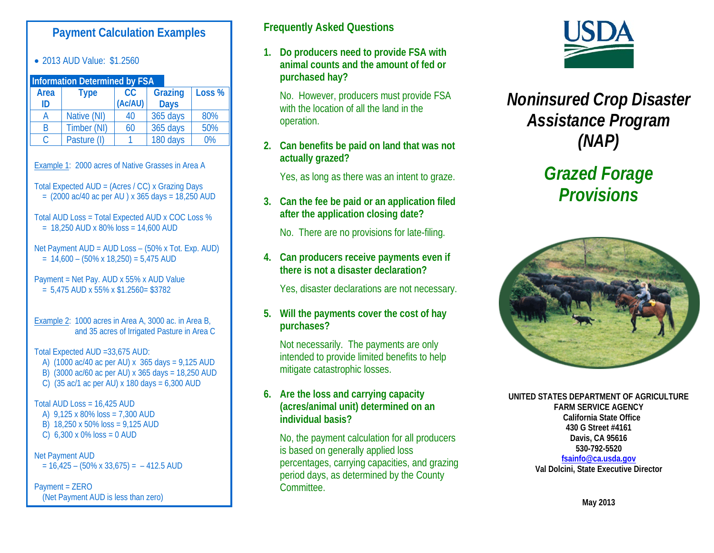# **Payment Calculation Examples**

• 2013 AUD Value: \$1.2560

| <b>Information Determined by FSA</b> |             |           |                |        |
|--------------------------------------|-------------|-----------|----------------|--------|
| <b>Area</b>                          | <b>Type</b> | <b>CC</b> | <b>Grazing</b> | Loss % |
| ID                                   |             | (Ac/AU)   | <b>Days</b>    |        |
| А                                    | Native (NI) | 40        | 365 days       | 80%    |
| B                                    | Timber (NI) | 60        | 365 days       | 50%    |
| C                                    | Pasture (I) |           | 180 days       | 0%     |

Example 1: 2000 acres of Native Grasses in Area A

Total Expected AUD = (Acres / CC) x Grazing Days  $= (2000 \text{ ac}/40 \text{ ac per AU}) \times 365 \text{ days} = 18,250 \text{ AUD}$ 

Total AUD Loss = Total Expected AUD x COC Loss %  $= 18,250$  AUD x 80% loss  $= 14,600$  AUD

Net Payment AUD = AUD Loss – (50% x Tot. Exp. AUD)  $= 14,600 - (50\% \times 18,250) = 5,475 \text{ AUD}$ 

Payment = Net Pay. AUD x 55% x AUD Value  $= 5,475$  AUD x 55% x \$1.2560 = \$3782

Example 2: 1000 acres in Area A, 3000 ac. in Area B, and 35 acres of Irrigated Pasture in Area C

Total Expected AUD =33,675 AUD:

- A) (1000 ac/40 ac per AU) x 365 days = 9,125 AUD
- B) (3000 ac/60 ac per AU) x 365 days = 18,250 AUD
- C) (35 ac/1 ac per AU) x 180 days = 6,300 AUD

Total AUD Loss = 16,425 AUD

- A) 9,125 x 80% loss = 7,300 AUD
- B) 18,250 x 50% loss = 9,125 AUD
- C)  $6,300 \times 0\%$  loss = 0 AUD

Net Payment AUD  $= 16,425 - (50\% \times 33,675) = -412.5 \text{ AUD}$ 

Payment = ZERO (Net Payment AUD is less than zero)

# **Frequently Asked Questions**

**1. Do producers need to provide FSA with animal counts and the amount of fed or purchased hay?**

No. However, producers must provide FSA with the location of all the land in the operation.

**2. Can benefits be paid on land that was not actually grazed?**

Yes, as long as there was an intent to graze.

**3. Can the fee be paid or an application filed after the application closing date?**

No. There are no provisions for late-filing.

#### **4. Can producers receive payments even if there is not a disaster declaration?**

Yes, disaster declarations are not necessary.

#### **5. Will the payments cover the cost of hay purchases?**

Not necessarily. The payments are only intended to provide limited benefits to help mitigate catastrophic losses.

#### **6. Are the loss and carrying capacity (acres/animal unit) determined on an individual basis?**

No, the payment calculation for all producers is based on generally applied loss percentages, carrying capacities, and grazing period days, as determined by the County Committee.



*Noninsured Crop Disaster Assistance Program (NAP)*

# *Grazed Forage Provisions*



**UNITED STATES DEPARTMENT OF AGRICULTURE FARM SERVICE AGENCY California State Office 430 G Street #4161 Davis, CA 95616 530-792-5520 [fsainfo@ca.usda.gov](mailto:fsainfo@ca.usda.gov)**

**Val Dolcini, State Executive Director**